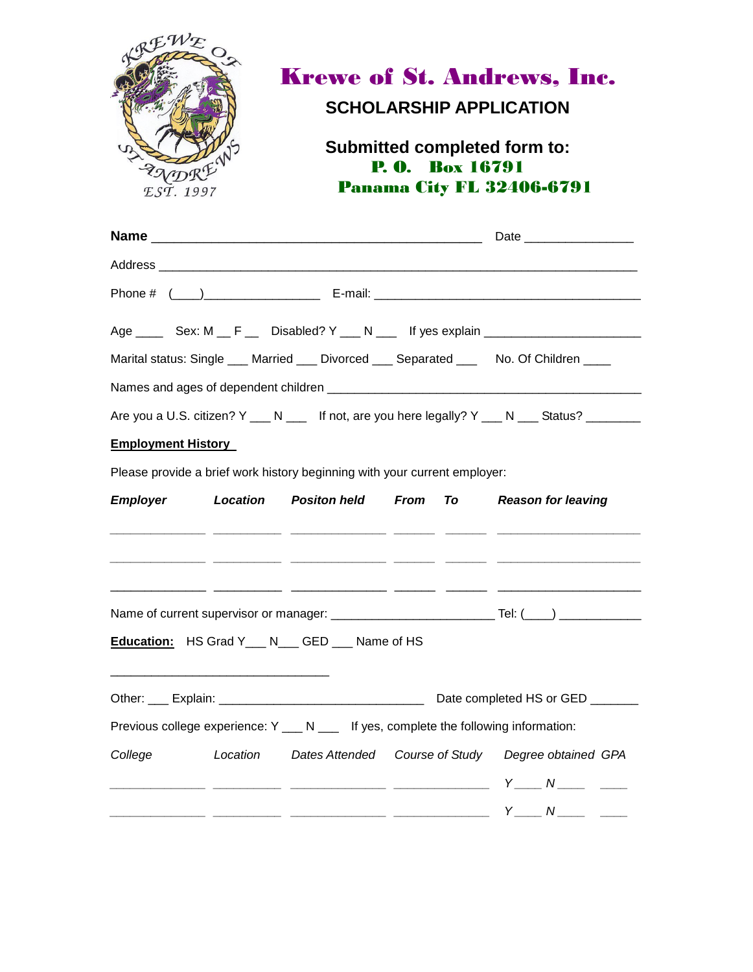|                           | <b>Krewe of St. Andrews, Inc.</b><br><b>SCHOLARSHIP APPLICATION</b><br><b>Submitted completed form to:</b><br><b>P. O.</b> Box 16791<br>LADRE<br><b>Panama City FL 32406-6791</b><br>EST. 1997 |                                                                                                          |  |  |                                                                                                                                                   |
|---------------------------|------------------------------------------------------------------------------------------------------------------------------------------------------------------------------------------------|----------------------------------------------------------------------------------------------------------|--|--|---------------------------------------------------------------------------------------------------------------------------------------------------|
|                           |                                                                                                                                                                                                |                                                                                                          |  |  |                                                                                                                                                   |
|                           |                                                                                                                                                                                                |                                                                                                          |  |  |                                                                                                                                                   |
|                           |                                                                                                                                                                                                |                                                                                                          |  |  |                                                                                                                                                   |
|                           |                                                                                                                                                                                                |                                                                                                          |  |  | Age ________ Sex: M ___ F _____ Disabled? Y ____ N _____ If yes explain ___________________________                                               |
|                           |                                                                                                                                                                                                |                                                                                                          |  |  | Marital status: Single ___ Married ___ Divorced ___ Separated ___ No. Of Children ____                                                            |
|                           |                                                                                                                                                                                                |                                                                                                          |  |  |                                                                                                                                                   |
|                           |                                                                                                                                                                                                |                                                                                                          |  |  | Are you a U.S. citizen? Y ___ N ____ If not, are you here legally? Y ___ N ___ Status? ________                                                   |
| <b>Employment History</b> |                                                                                                                                                                                                |                                                                                                          |  |  |                                                                                                                                                   |
|                           |                                                                                                                                                                                                | Please provide a brief work history beginning with your current employer:                                |  |  |                                                                                                                                                   |
| <b>Employer</b>           |                                                                                                                                                                                                | Location Positon held From To                                                                            |  |  | <b>Reason for leaving</b><br><u> 22 - Anne 20 - Anne 20 - Anne 20 - Anne 20 - Anne 20 - Anne 20 - Anne 20 - Anne 20 - Anne 20 - Anne 20 - Ann</u> |
|                           |                                                                                                                                                                                                | Education: HS Grad Y__ N__ GED __ Name of HS                                                             |  |  |                                                                                                                                                   |
|                           |                                                                                                                                                                                                |                                                                                                          |  |  |                                                                                                                                                   |
|                           |                                                                                                                                                                                                |                                                                                                          |  |  | Date completed HS or GED _______                                                                                                                  |
|                           |                                                                                                                                                                                                | Previous college experience: $Y_{\text{max}} N_{\text{max}}$ If yes, complete the following information: |  |  |                                                                                                                                                   |
| College                   | Location                                                                                                                                                                                       | <b>Dates Attended</b>                                                                                    |  |  | Course of Study  Degree obtained GPA                                                                                                              |
|                           |                                                                                                                                                                                                |                                                                                                          |  |  | Y_____ N ________ _____                                                                                                                           |
|                           |                                                                                                                                                                                                |                                                                                                          |  |  |                                                                                                                                                   |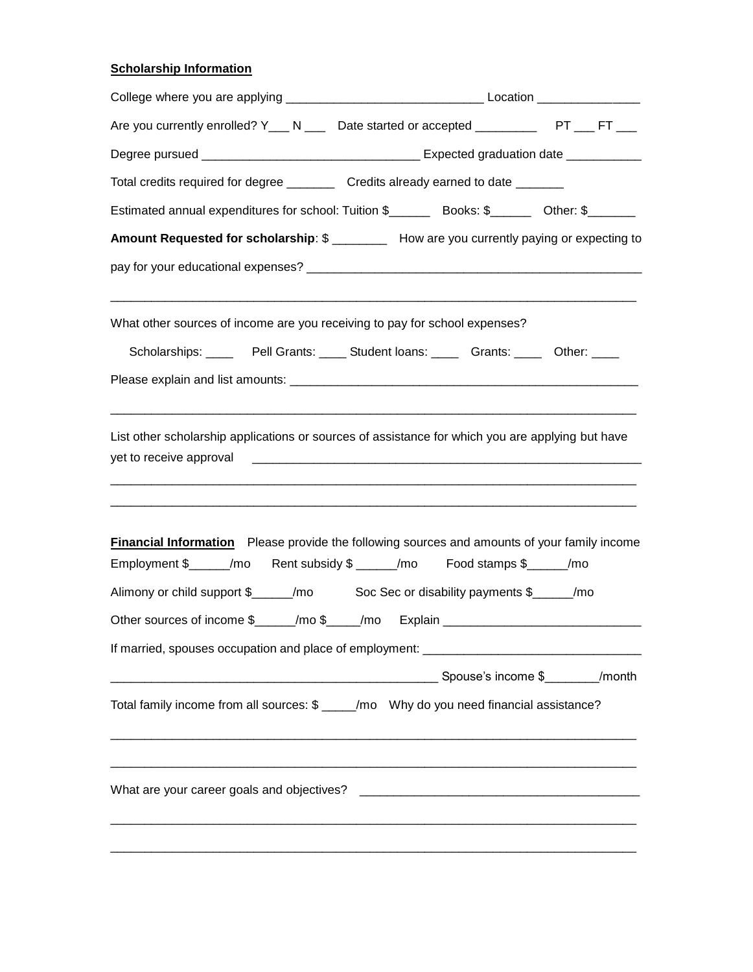## **Scholarship Information**

| Are you currently enrolled? Y___ N ___ Date started or accepted __________ PT ___ FT ___            |  |  |  |  |  |
|-----------------------------------------------------------------------------------------------------|--|--|--|--|--|
|                                                                                                     |  |  |  |  |  |
| Total credits required for degree _________ Credits already earned to date _______                  |  |  |  |  |  |
|                                                                                                     |  |  |  |  |  |
| Amount Requested for scholarship: \$ ________ How are you currently paying or expecting to          |  |  |  |  |  |
|                                                                                                     |  |  |  |  |  |
| What other sources of income are you receiving to pay for school expenses?                          |  |  |  |  |  |
| Scholarships: ________Pell Grants: ______ Student loans: ________Grants: _______ Other: _____       |  |  |  |  |  |
|                                                                                                     |  |  |  |  |  |
| <b>Financial Information</b> Please provide the following sources and amounts of your family income |  |  |  |  |  |
| Employment \$_____/mo Rent subsidy \$ _____/mo Food stamps \$_____/mo                               |  |  |  |  |  |
| Alimony or child support \$_____/mo Soc Sec or disability payments \$____/mo                        |  |  |  |  |  |
| Other sources of income \$______/mo \$_____/mo Explain ___________________________                  |  |  |  |  |  |
|                                                                                                     |  |  |  |  |  |
|                                                                                                     |  |  |  |  |  |
| Total family income from all sources: \$ ____/mo Why do you need financial assistance?              |  |  |  |  |  |
|                                                                                                     |  |  |  |  |  |
|                                                                                                     |  |  |  |  |  |
|                                                                                                     |  |  |  |  |  |